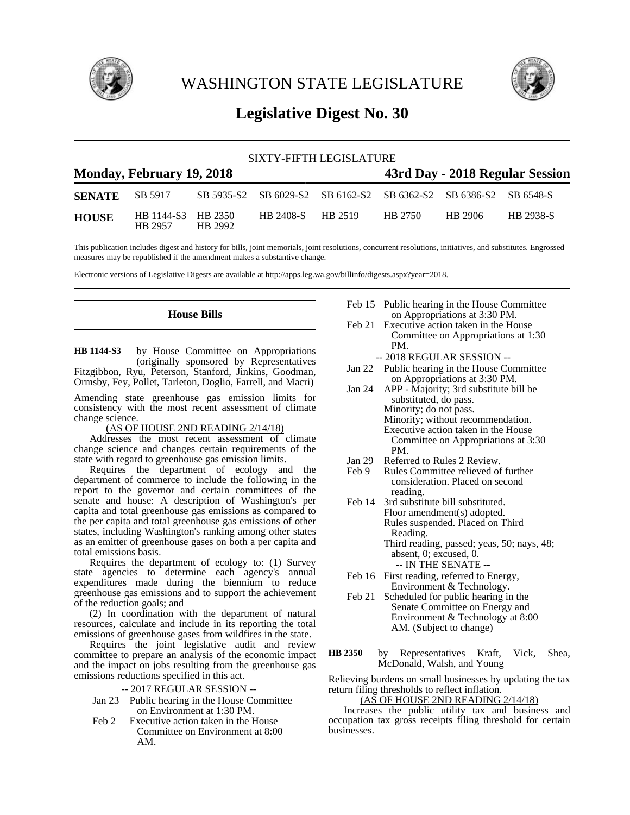

WASHINGTON STATE LEGISLATURE



# **Legislative Digest No. 30**

| SIXTY-FIFTH LEGISLATURE |                               |         |                                 |  |         |                                                                  |                  |
|-------------------------|-------------------------------|---------|---------------------------------|--|---------|------------------------------------------------------------------|------------------|
|                         | Monday, February 19, 2018     |         | 43rd Day - 2018 Regular Session |  |         |                                                                  |                  |
| <b>SENATE</b>           | SB 5917                       |         |                                 |  |         | SB 5935-S2 SB 6029-S2 SB 6162-S2 SB 6362-S2 SB 6386-S2 SB 6548-S |                  |
| <b>HOUSE</b>            | HB 1144-S3 HB 2350<br>HB 2957 | HB 2992 | HB 2408-S HB 2519               |  | HB 2750 | HB 2906                                                          | <b>HB</b> 2938-S |

This publication includes digest and history for bills, joint memorials, joint resolutions, concurrent resolutions, initiatives, and substitutes. Engrossed measures may be republished if the amendment makes a substantive change.

Electronic versions of Legislative Digests are available at http://apps.leg.wa.gov/billinfo/digests.aspx?year=2018.

### **House Bills**

by House Committee on Appropriations (originally sponsored by Representatives Fitzgibbon, Ryu, Peterson, Stanford, Jinkins, Goodman, Ormsby, Fey, Pollet, Tarleton, Doglio, Farrell, and Macri) **HB 1144-S3**

Amending state greenhouse gas emission limits for consistency with the most recent assessment of climate change science.

(AS OF HOUSE 2ND READING 2/14/18)

Addresses the most recent assessment of climate change science and changes certain requirements of the state with regard to greenhouse gas emission limits.

Requires the department of ecology and the department of commerce to include the following in the report to the governor and certain committees of the senate and house: A description of Washington's per capita and total greenhouse gas emissions as compared to the per capita and total greenhouse gas emissions of other states, including Washington's ranking among other states as an emitter of greenhouse gases on both a per capita and total emissions basis.

Requires the department of ecology to: (1) Survey state agencies to determine each agency's annual expenditures made during the biennium to reduce greenhouse gas emissions and to support the achievement of the reduction goals; and

(2) In coordination with the department of natural resources, calculate and include in its reporting the total emissions of greenhouse gases from wildfires in the state.

Requires the joint legislative audit and review committee to prepare an analysis of the economic impact and the impact on jobs resulting from the greenhouse gas emissions reductions specified in this act.

- -- 2017 REGULAR SESSION --
- Jan 23 Public hearing in the House Committee on Environment at 1:30 PM.
- Feb 2 Executive action taken in the House Committee on Environment at 8:00 AM.
- Feb 15 Public hearing in the House Committee on Appropriations at 3:30 PM.
- Feb 21 Executive action taken in the House Committee on Appropriations at 1:30 PM.
	- -- 2018 REGULAR SESSION --
- Jan 22 Public hearing in the House Committee on Appropriations at 3:30 PM.
- Jan 24 APP Majority; 3rd substitute bill be substituted, do pass. Minority; do not pass. Minority; without recommendation. Executive action taken in the House Committee on Appropriations at 3:30 PM.
- Jan 29 Referred to Rules 2 Review.<br>Feb 9 Rules Committee relieved of
- Rules Committee relieved of further consideration. Placed on second reading.
- Feb 14 3rd substitute bill substituted. Floor amendment(s) adopted. Rules suspended. Placed on Third Reading.

Third reading, passed; yeas, 50; nays, 48; absent, 0; excused, 0. -- IN THE SENATE --

- Feb 16 First reading, referred to Energy, Environment & Technology.
- Feb 21 Scheduled for public hearing in the Senate Committee on Energy and Environment & Technology at 8:00 AM. (Subject to change)
- by Representatives Kraft, Vick, Shea, McDonald, Walsh, and Young **HB 2350**

Relieving burdens on small businesses by updating the tax return filing thresholds to reflect inflation.

## (AS OF HOUSE 2ND READING 2/14/18)

Increases the public utility tax and business and occupation tax gross receipts filing threshold for certain businesses.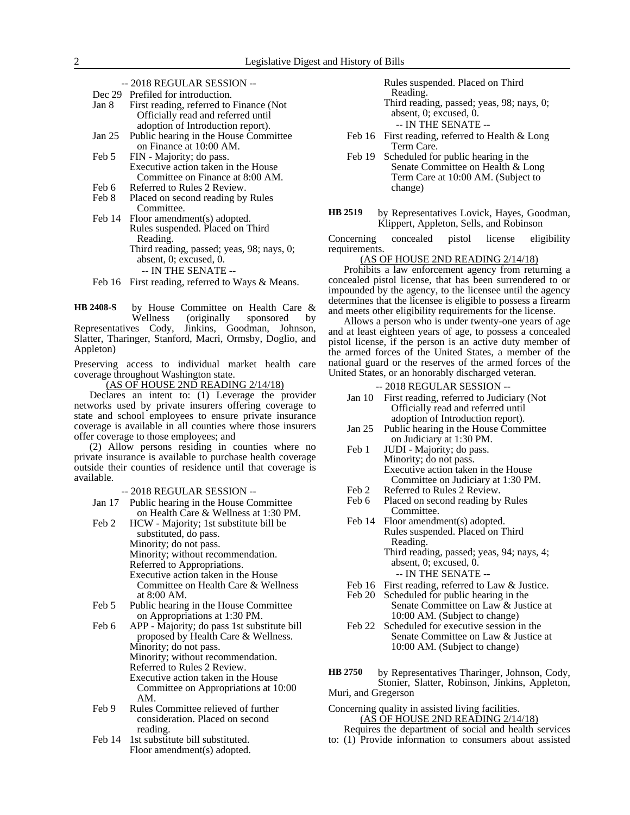-- 2018 REGULAR SESSION --

Dec 29 Prefiled for introduction.

| Jan 8 | First reading, referred to Finance (Not) |  |  |  |  |  |
|-------|------------------------------------------|--|--|--|--|--|
|       | Officially read and referred until       |  |  |  |  |  |
|       | adoption of Introduction report).        |  |  |  |  |  |

- Jan 25 Public hearing in the House Committee on Finance at 10:00 AM.
- Feb 5 FIN Majority; do pass. Executive action taken in the House Committee on Finance at 8:00 AM.
- Feb 6 Referred to Rules 2 Review.
- Feb 8 Placed on second reading by Rules Committee.

Feb 14 Floor amendment(s) adopted. Rules suspended. Placed on Third Reading. Third reading, passed; yeas, 98; nays, 0; absent, 0; excused, 0. -- IN THE SENATE --

Feb 16 First reading, referred to Ways & Means.

by House Committee on Health Care & Wellness (originally sponsored by Representatives Cody, Jinkins, Goodman, Johnson, Slatter, Tharinger, Stanford, Macri, Ormsby, Doglio, and Appleton) **HB 2408-S**

Preserving access to individual market health care coverage throughout Washington state.

(AS OF HOUSE 2ND READING 2/14/18)

Declares an intent to: (1) Leverage the provider networks used by private insurers offering coverage to state and school employees to ensure private insurance coverage is available in all counties where those insurers offer coverage to those employees; and

(2) Allow persons residing in counties where no private insurance is available to purchase health coverage outside their counties of residence until that coverage is available.

- -- 2018 REGULAR SESSION --
- Jan 17 Public hearing in the House Committee on Health Care & Wellness at 1:30 PM.
- Feb 2 HCW Majority; 1st substitute bill be substituted, do pass. Minority; do not pass. Minority; without recommendation. Referred to Appropriations. Executive action taken in the House Committee on Health Care & Wellness at 8:00 AM.
- Feb 5 Public hearing in the House Committee on Appropriations at 1:30 PM.
- Feb 6 APP Majority; do pass 1st substitute bill proposed by Health Care & Wellness. Minority; do not pass. Minority; without recommendation. Referred to Rules 2 Review. Executive action taken in the House Committee on Appropriations at 10:00 AM.
- Feb 9 Rules Committee relieved of further consideration. Placed on second reading.
- Feb 14 1st substitute bill substituted. Floor amendment(s) adopted.

Rules suspended. Placed on Third

Reading. Third reading, passed; yeas, 98; nays, 0; absent, 0; excused, 0.

- -- IN THE SENATE --
- Feb 16 First reading, referred to Health & Long Term Care.
- Feb 19 Scheduled for public hearing in the Senate Committee on Health & Long Term Care at 10:00 AM. (Subject to change)
- by Representatives Lovick, Hayes, Goodman, Klippert, Appleton, Sells, and Robinson **HB 2519**

Concerning concealed pistol license eligibility requirements.

#### (AS OF HOUSE 2ND READING 2/14/18)

Prohibits a law enforcement agency from returning a concealed pistol license, that has been surrendered to or impounded by the agency, to the licensee until the agency determines that the licensee is eligible to possess a firearm and meets other eligibility requirements for the license.

Allows a person who is under twenty-one years of age and at least eighteen years of age, to possess a concealed pistol license, if the person is an active duty member of the armed forces of the United States, a member of the national guard or the reserves of the armed forces of the United States, or an honorably discharged veteran.

- -- 2018 REGULAR SESSION --
- Jan 10 First reading, referred to Judiciary (Not Officially read and referred until adoption of Introduction report).
- Jan 25 Public hearing in the House Committee on Judiciary at 1:30 PM.
- Feb 1 JUDI Majority; do pass. Minority; do not pass. Executive action taken in the House Committee on Judiciary at 1:30 PM.
- Feb 2 Referred to Rules 2 Review.<br>Feb 6 Placed on second reading by
- Placed on second reading by Rules Committee.
- Feb 14 Floor amendment(s) adopted. Rules suspended. Placed on Third Reading. Third reading, passed; yeas, 94; nays, 4; absent, 0; excused, 0.
	- -- IN THE SENATE --
- Feb 16 First reading, referred to Law & Justice.
- Feb 20 Scheduled for public hearing in the Senate Committee on Law & Justice at 10:00 AM. (Subject to change)
- Feb 22 Scheduled for executive session in the Senate Committee on Law & Justice at 10:00 AM. (Subject to change)

by Representatives Tharinger, Johnson, Cody, Stonier, Slatter, Robinson, Jinkins, Appleton, Muri, and Gregerson **HB 2750**

Concerning quality in assisted living facilities. (AS OF HOUSE 2ND READING 2/14/18)

Requires the department of social and health services

to: (1) Provide information to consumers about assisted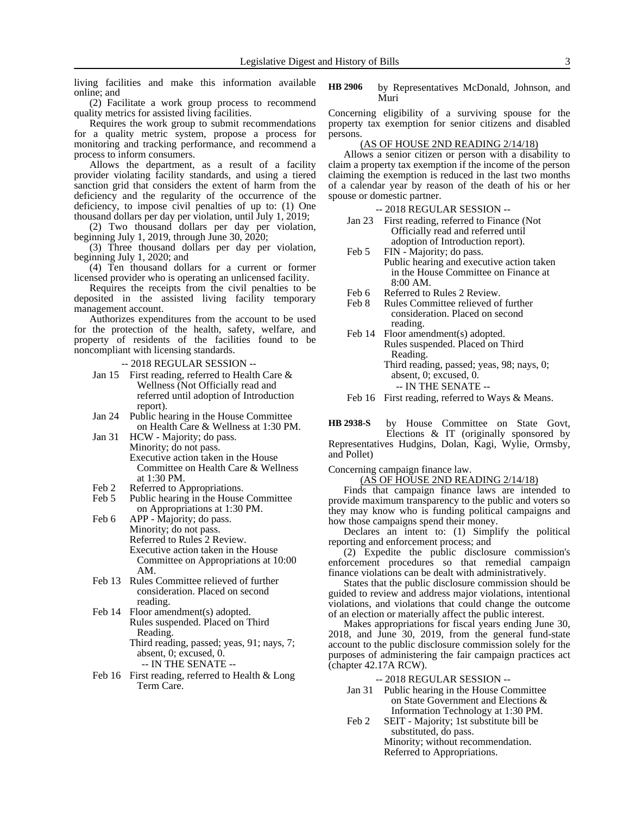living facilities and make this information available online; and

(2) Facilitate a work group process to recommend quality metrics for assisted living facilities.

Requires the work group to submit recommendations for a quality metric system, propose a process for monitoring and tracking performance, and recommend a process to inform consumers.

Allows the department, as a result of a facility provider violating facility standards, and using a tiered sanction grid that considers the extent of harm from the deficiency and the regularity of the occurrence of the deficiency, to impose civil penalties of up to: (1) One thousand dollars per day per violation, until July 1, 2019;

(2) Two thousand dollars per day per violation, beginning July 1, 2019, through June 30,  $20\overline{2}0$ ;

(3) Three thousand dollars per day per violation, beginning July 1, 2020; and

(4) Ten thousand dollars for a current or former licensed provider who is operating an unlicensed facility.

Requires the receipts from the civil penalties to be deposited in the assisted living facility temporary management account.

Authorizes expenditures from the account to be used for the protection of the health, safety, welfare, and property of residents of the facilities found to be noncompliant with licensing standards.

-- 2018 REGULAR SESSION --

- Jan 15 First reading, referred to Health Care & Wellness (Not Officially read and referred until adoption of Introduction report).
- Jan 24 Public hearing in the House Committee on Health Care & Wellness at 1:30 PM.
- Jan 31 HCW Majority; do pass. Minority; do not pass. Executive action taken in the House Committee on Health Care & Wellness at 1:30 PM.
- Feb 2 Referred to Appropriations.<br>Feb 5 Public hearing in the House
- Public hearing in the House Committee on Appropriations at 1:30 PM.
- Feb 6 APP Majority; do pass. Minority; do not pass. Referred to Rules 2 Review. Executive action taken in the House Committee on Appropriations at 10:00 AM.
- Feb 13 Rules Committee relieved of further consideration. Placed on second reading.
- Feb 14 Floor amendment(s) adopted. Rules suspended. Placed on Third Reading. Third reading, passed; yeas, 91; nays, 7; absent, 0; excused, 0.
	- -- IN THE SENATE --
- Feb 16 First reading, referred to Health & Long Term Care.

by Representatives McDonald, Johnson, and Muri **HB 2906**

Concerning eligibility of a surviving spouse for the property tax exemption for senior citizens and disabled persons.

#### (AS OF HOUSE 2ND READING 2/14/18)

Allows a senior citizen or person with a disability to claim a property tax exemption if the income of the person claiming the exemption is reduced in the last two months of a calendar year by reason of the death of his or her spouse or domestic partner.

-- 2018 REGULAR SESSION --

| Jan $23$ | First reading, referred to Finance (Not |
|----------|-----------------------------------------|
|          | Officially read and referred until      |
|          | adoption of Introduction report).       |

- Feb 5 FIN Majority; do pass. Public hearing and executive action taken in the House Committee on Finance at  $8:00 \text{ AM}$
- Feb 6 Referred to Rules 2 Review.
- Feb 8 Rules Committee relieved of further consideration. Placed on second reading.
- Feb 14 Floor amendment(s) adopted. Rules suspended. Placed on Third Reading. Third reading, passed; yeas, 98; nays, 0;
	- absent, 0; excused, 0.
	- -- IN THE SENATE --
- Feb 16 First reading, referred to Ways & Means.

by House Committee on State Govt, Elections & IT (originally sponsored by Representatives Hudgins, Dolan, Kagi, Wylie, Ormsby, and Pollet) **HB 2938-S**

Concerning campaign finance law.

(AS OF HOUSE 2ND READING 2/14/18)

Finds that campaign finance laws are intended to provide maximum transparency to the public and voters so they may know who is funding political campaigns and how those campaigns spend their money.

Declares an intent to: (1) Simplify the political reporting and enforcement process; and

(2) Expedite the public disclosure commission's enforcement procedures so that remedial campaign finance violations can be dealt with administratively.

States that the public disclosure commission should be guided to review and address major violations, intentional violations, and violations that could change the outcome of an election or materially affect the public interest.

Makes appropriations for fiscal years ending June 30, 2018, and June 30, 2019, from the general fund-state account to the public disclosure commission solely for the purposes of administering the fair campaign practices act (chapter 42.17A RCW).

#### -- 2018 REGULAR SESSION --

- Jan 31 Public hearing in the House Committee on State Government and Elections & Information Technology at 1:30 PM.
- Feb 2 SEIT Majority; 1st substitute bill be substituted, do pass. Minority; without recommendation. Referred to Appropriations.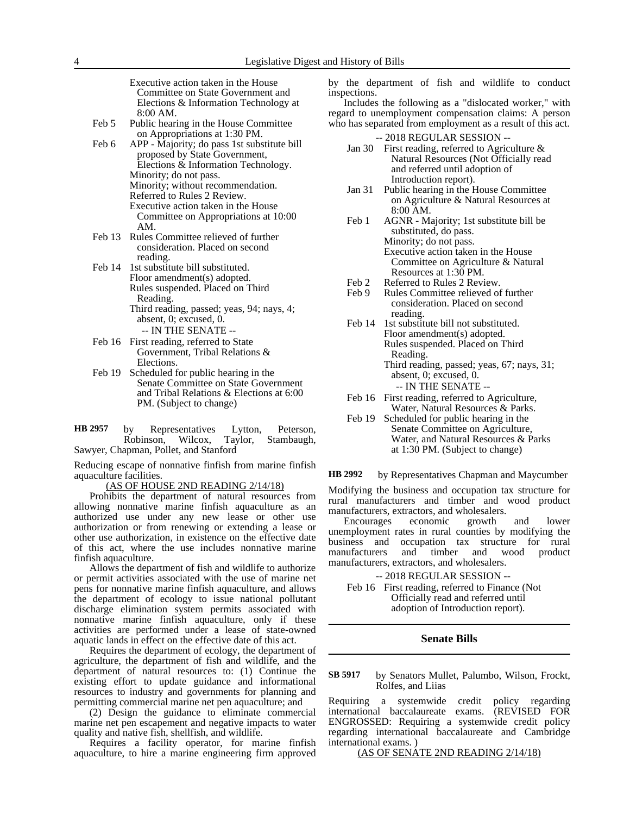Executive action taken in the House Committee on State Government and Elections & Information Technology at 8:00 AM.

- Feb 5 Public hearing in the House Committee on Appropriations at 1:30 PM.
- Feb 6 APP Majority; do pass 1st substitute bill proposed by State Government, Elections & Information Technology. Minority; do not pass. Minority; without recommendation. Referred to Rules 2 Review. Executive action taken in the House Committee on Appropriations at 10:00 AM.
- Feb 13 Rules Committee relieved of further consideration. Placed on second reading.
- Feb 14 1st substitute bill substituted. Floor amendment(s) adopted. Rules suspended. Placed on Third Reading.
	- Third reading, passed; yeas, 94; nays, 4; absent, 0; excused, 0. -- IN THE SENATE --
- Feb 16 First reading, referred to State Government, Tribal Relations & Elections.
- Feb 19 Scheduled for public hearing in the Senate Committee on State Government and Tribal Relations & Elections at 6:00 PM. (Subject to change)
- by Representatives Lytton, Peterson,<br>Robinson, Wilcox, Taylor, Stambaugh, Robinson, Wilcox, Sawyer, Chapman, Pollet, and Stanford **HB 2957**

Reducing escape of nonnative finfish from marine finfish aquaculture facilities.

(AS OF HOUSE 2ND READING 2/14/18)

Prohibits the department of natural resources from allowing nonnative marine finfish aquaculture as an authorized use under any new lease or other use authorization or from renewing or extending a lease or other use authorization, in existence on the effective date of this act, where the use includes nonnative marine finfish aquaculture.

Allows the department of fish and wildlife to authorize or permit activities associated with the use of marine net pens for nonnative marine finfish aquaculture, and allows the department of ecology to issue national pollutant discharge elimination system permits associated with nonnative marine finfish aquaculture, only if these activities are performed under a lease of state-owned aquatic lands in effect on the effective date of this act.

Requires the department of ecology, the department of agriculture, the department of fish and wildlife, and the department of natural resources to: (1) Continue the existing effort to update guidance and informational resources to industry and governments for planning and permitting commercial marine net pen aquaculture; and

(2) Design the guidance to eliminate commercial marine net pen escapement and negative impacts to water quality and native fish, shellfish, and wildlife.

Requires a facility operator, for marine finfish aquaculture, to hire a marine engineering firm approved by the department of fish and wildlife to conduct inspections.

Includes the following as a "dislocated worker," with regard to unemployment compensation claims: A person who has separated from employment as a result of this act.

-- 2018 REGULAR SESSION --

- Jan 30 First reading, referred to Agriculture & Natural Resources (Not Officially read and referred until adoption of Introduction report).
- Jan 31 Public hearing in the House Committee on Agriculture & Natural Resources at 8:00 AM.
- Feb 1 AGNR Majority; 1st substitute bill be substituted, do pass. Minority; do not pass. Executive action taken in the House Committee on Agriculture & Natural Resources at 1:30 PM.
- Feb 2 Referred to Rules 2 Review.<br>Feb 9 Rules Committee relieved of
- Rules Committee relieved of further consideration. Placed on second reading.
- Feb 14 1st substitute bill not substituted. Floor amendment(s) adopted. Rules suspended. Placed on Third Reading.
	- Third reading, passed; yeas, 67; nays, 31; absent, 0; excused, 0. -- IN THE SENATE --
- Feb 16 First reading, referred to Agriculture, Water, Natural Resources & Parks.
- Feb 19 Scheduled for public hearing in the Senate Committee on Agriculture, Water, and Natural Resources & Parks at 1:30 PM. (Subject to change)

by Representatives Chapman and Maycumber **HB 2992**

Modifying the business and occupation tax structure for rural manufacturers and timber and wood product manufacturers, extractors, and wholesalers.

Encourages economic growth and lower unemployment rates in rural counties by modifying the business and occupation tax structure for rural manufacturers and timber and wood product manufacturers, extractors, and wholesalers.

-- 2018 REGULAR SESSION --

Feb 16 First reading, referred to Finance (Not Officially read and referred until adoption of Introduction report).

#### **Senate Bills**

by Senators Mullet, Palumbo, Wilson, Frockt, Rolfes, and Liias **SB 5917**

Requiring a systemwide credit policy regarding international baccalaureate exams. (REVISED FOR ENGROSSED: Requiring a systemwide credit policy regarding international baccalaureate and Cambridge international exams. )

(AS OF SENATE 2ND READING 2/14/18)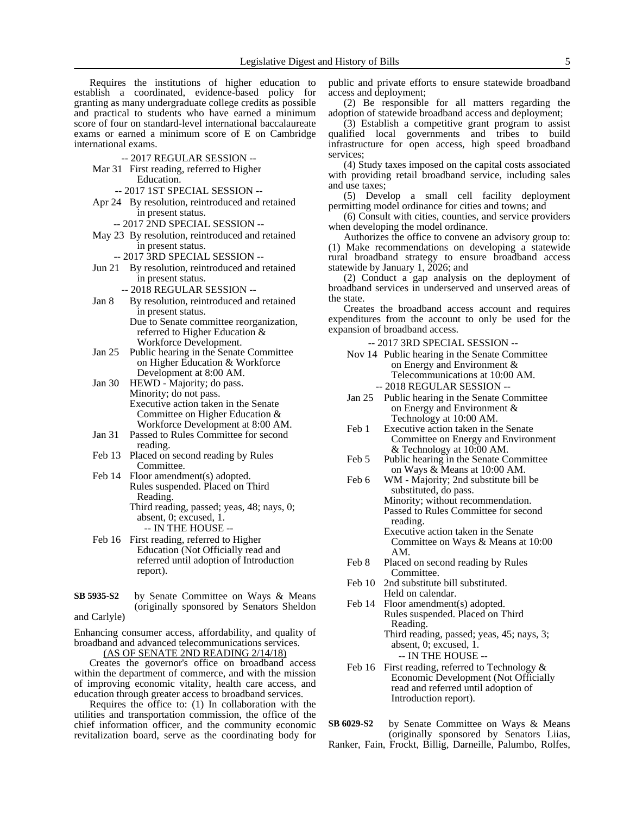Requires the institutions of higher education to establish a coordinated, evidence-based policy for granting as many undergraduate college credits as possible and practical to students who have earned a minimum score of four on standard-level international baccalaureate exams or earned a minimum score of E on Cambridge international exams.

- -- 2017 REGULAR SESSION --
- Mar 31 First reading, referred to Higher Education.
	- -- 2017 1ST SPECIAL SESSION --
- Apr 24 By resolution, reintroduced and retained in present status.
	- -- 2017 2ND SPECIAL SESSION --
- May 23 By resolution, reintroduced and retained in present status.
	- -- 2017 3RD SPECIAL SESSION --
- Jun 21 By resolution, reintroduced and retained in present status.
	- -- 2018 REGULAR SESSION --
- Jan 8 By resolution, reintroduced and retained in present status.
	- Due to Senate committee reorganization, referred to Higher Education & Workforce Development.
- Jan 25 Public hearing in the Senate Committee on Higher Education & Workforce Development at 8:00 AM.
- Jan 30 HEWD Majority; do pass. Minority; do not pass. Executive action taken in the Senate Committee on Higher Education & Workforce Development at 8:00 AM.
- Jan 31 Passed to Rules Committee for second reading.
- Feb 13 Placed on second reading by Rules Committee.
- Feb 14 Floor amendment(s) adopted. Rules suspended. Placed on Third Reading. Third reading, passed; yeas, 48; nays, 0; absent, 0; excused, 1.
	- -- IN THE HOUSE --
- Feb 16 First reading, referred to Higher Education (Not Officially read and referred until adoption of Introduction report).
- by Senate Committee on Ways & Means (originally sponsored by Senators Sheldon and Carlyle) **SB 5935-S2**

Enhancing consumer access, affordability, and quality of broadband and advanced telecommunications services. (AS OF SENATE 2ND READING 2/14/18)

Creates the governor's office on broadband access within the department of commerce, and with the mission

of improving economic vitality, health care access, and education through greater access to broadband services.

Requires the office to: (1) In collaboration with the utilities and transportation commission, the office of the chief information officer, and the community economic revitalization board, serve as the coordinating body for

public and private efforts to ensure statewide broadband access and deployment;

(2) Be responsible for all matters regarding the adoption of statewide broadband access and deployment;

(3) Establish a competitive grant program to assist qualified local governments and tribes to build infrastructure for open access, high speed broadband services;

(4) Study taxes imposed on the capital costs associated with providing retail broadband service, including sales and use taxes;

(5) Develop a small cell facility deployment permitting model ordinance for cities and towns; and

(6) Consult with cities, counties, and service providers when developing the model ordinance.

Authorizes the office to convene an advisory group to: (1) Make recommendations on developing a statewide rural broadband strategy to ensure broadband access statewide by January 1, 2026; and

(2) Conduct a gap analysis on the deployment of broadband services in underserved and unserved areas of the state.

Creates the broadband access account and requires expenditures from the account to only be used for the expansion of broadband access.

-- 2017 3RD SPECIAL SESSION --

- Nov 14 Public hearing in the Senate Committee on Energy and Environment & Telecommunications at 10:00 AM. -- 2018 REGULAR SESSION --
- Jan 25 Public hearing in the Senate Committee on Energy and Environment & Technology at 10:00 AM.
- Feb 1 Executive action taken in the Senate Committee on Energy and Environment & Technology at 10:00 AM.
- Feb 5 Public hearing in the Senate Committee on Ways & Means at 10:00 AM.
- Feb 6 WM Majority; 2nd substitute bill be substituted, do pass. Minority; without recommendation. Passed to Rules Committee for second reading.
	- Executive action taken in the Senate Committee on Ways & Means at 10:00 AM.
- Feb 8 Placed on second reading by Rules Committee.
- Feb 10 2nd substitute bill substituted. Held on calendar.
- Feb 14 Floor amendment(s) adopted. Rules suspended. Placed on Third Reading. Third reading, passed; yeas, 45; nays, 3;

absent, 0; excused, 1. -- IN THE HOUSE --

- Feb 16 First reading, referred to Technology & Economic Development (Not Officially read and referred until adoption of Introduction report).
- by Senate Committee on Ways & Means (originally sponsored by Senators Liias, **SB 6029-S2**
- Ranker, Fain, Frockt, Billig, Darneille, Palumbo, Rolfes,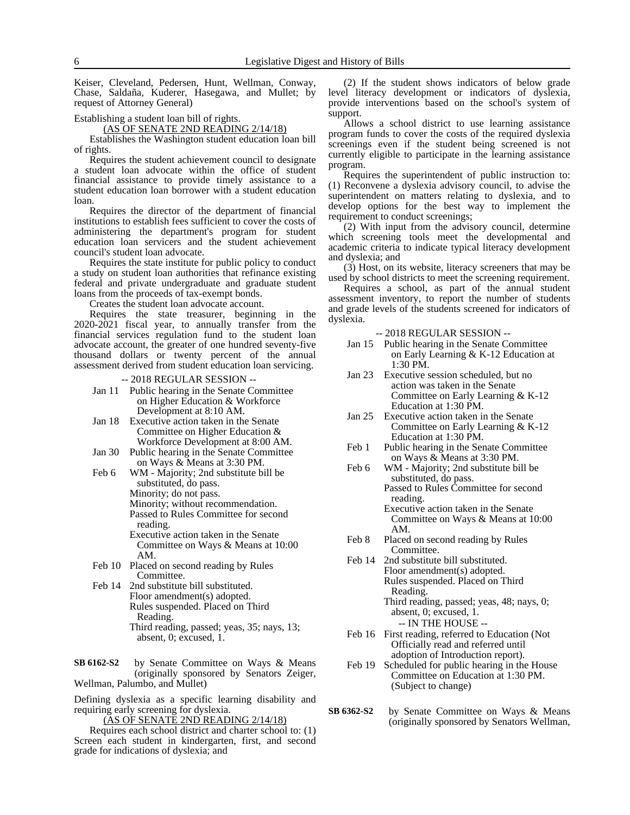Keiser, Cleveland, Pedersen, Hunt, Wellman, Conway, Chase, Saldaña, Kuderer, Hasegawa, and Mullet; by request of Attorney General)

Establishing a student loan bill of rights.

(AS OF SENATE 2ND READING 2/14/18)

Establishes the Washington student education loan bill of rights.

Requires the student achievement council to designate a student loan advocate within the office of student financial assistance to provide timely assistance to a student education loan borrower with a student education loan.

Requires the director of the department of financial institutions to establish fees sufficient to cover the costs of administering the department's program for student education loan servicers and the student achievement council's student loan advocate.

Requires the state institute for public policy to conduct a study on student loan authorities that refinance existing federal and private undergraduate and graduate student loans from the proceeds of tax-exempt bonds.

Creates the student loan advocate account.

Requires the state treasurer, beginning in the 2020-2021 fiscal year, to annually transfer from the financial services regulation fund to the student loan advocate account, the greater of one hundred seventy-five thousand dollars or twenty percent of the annual assessment derived from student education loan servicing.

- -- 2018 REGULAR SESSION --
- Jan 11 Public hearing in the Senate Committee on Higher Education & Workforce Development at 8:10 AM.
- Jan 18 Executive action taken in the Senate Committee on Higher Education & Workforce Development at 8:00 AM.
- Jan 30 Public hearing in the Senate Committee on Ways & Means at 3:30 PM.
- Feb 6 WM Majority; 2nd substitute bill be substituted, do pass. Minority; do not pass.
	- Minority; without recommendation.

Passed to Rules Committee for second reading.

Executive action taken in the Senate Committee on Ways & Means at 10:00 AM.

- Feb 10 Placed on second reading by Rules Committee.
- Feb 14 2nd substitute bill substituted. Floor amendment(s) adopted. Rules suspended. Placed on Third Reading. Third reading, passed; yeas, 35; nays, 13; absent, 0; excused, 1.

by Senate Committee on Ways & Means (originally sponsored by Senators Zeiger, Wellman, Palumbo, and Mullet) **SB 6162-S2**

Defining dyslexia as a specific learning disability and requiring early screening for dyslexia.

(AS OF SENATE 2ND READING 2/14/18)

Requires each school district and charter school to: (1) Screen each student in kindergarten, first, and second grade for indications of dyslexia; and

(2) If the student shows indicators of below grade level literacy development or indicators of dyslexia, provide interventions based on the school's system of support.

Allows a school district to use learning assistance program funds to cover the costs of the required dyslexia screenings even if the student being screened is not currently eligible to participate in the learning assistance program.

Requires the superintendent of public instruction to: (1) Reconvene a dyslexia advisory council, to advise the superintendent on matters relating to dyslexia, and to develop options for the best way to implement the requirement to conduct screenings;

(2) With input from the advisory council, determine which screening tools meet the developmental and academic criteria to indicate typical literacy development and dyslexia; and

(3) Host, on its website, literacy screeners that may be used by school districts to meet the screening requirement.

Requires a school, as part of the annual student assessment inventory, to report the number of students and grade levels of the students screened for indicators of dyslexia.

-- 2018 REGULAR SESSION --

- Jan 15 Public hearing in the Senate Committee on Early Learning & K-12 Education at 1:30 PM.
- Jan 23 Executive session scheduled, but no action was taken in the Senate Committee on Early Learning & K-12 Education at 1:30 PM.
- Jan 25 Executive action taken in the Senate Committee on Early Learning & K-12 Education at 1:30 PM.
- Feb 1 Public hearing in the Senate Committee on Ways & Means at 3:30 PM.
- Feb 6 WM Majority; 2nd substitute bill be substituted, do pass. Passed to Rules Committee for second reading.
	- Executive action taken in the Senate Committee on Ways & Means at 10:00 AM.
- Feb 8 Placed on second reading by Rules Committee.
- Feb 14 2nd substitute bill substituted. Floor amendment(s) adopted. Rules suspended. Placed on Third Reading.

Third reading, passed; yeas, 48; nays, 0; absent, 0; excused, 1. -- IN THE HOUSE --

- Feb 16 First reading, referred to Education (Not Officially read and referred until adoption of Introduction report).
- Feb 19 Scheduled for public hearing in the House Committee on Education at 1:30 PM. (Subject to change)
- by Senate Committee on Ways & Means (originally sponsored by Senators Wellman, **SB 6362-S2**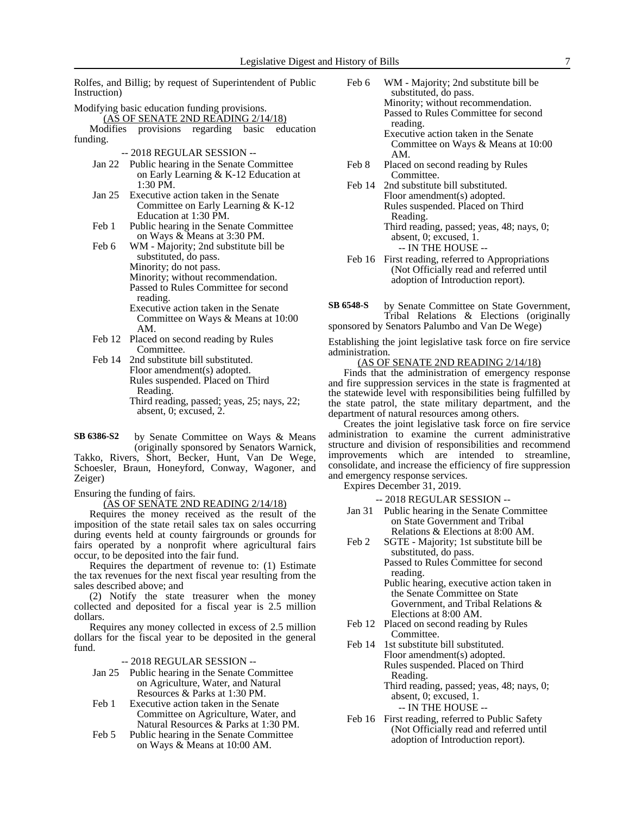Rolfes, and Billig; by request of Superintendent of Public Instruction)

- Modifying basic education funding provisions.  $(A\overline{S}$  OF SENATE 2ND READING 2/14/18)<br>difies provisions regarding basic education Modifies provisions regarding basic funding. -- 2018 REGULAR SESSION -- Jan 22 Public hearing in the Senate Committee on Early Learning & K-12 Education at 1:30 PM. Jan 25 Executive action taken in the Senate Committee on Early Learning & K-12 Education at 1:30 PM. Feb 1 Public hearing in the Senate Committee on Ways & Means at 3:30 PM. Feb 6 WM - Majority; 2nd substitute bill be substituted, do pass. Minority; do not pass. Minority; without recommendation. Passed to Rules Committee for second reading. Executive action taken in the Senate Committee on Ways & Means at 10:00 AM. Feb 12 Placed on second reading by Rules Committee. Feb 14 2nd substitute bill substituted. Floor amendment(s) adopted. Rules suspended. Placed on Third Reading. Third reading, passed; yeas, 25; nays, 22; absent, 0; excused, 2.
- by Senate Committee on Ways & Means (originally sponsored by Senators Warnick, **SB 6386-S2**

Takko, Rivers, Short, Becker, Hunt, Van De Wege, Schoesler, Braun, Honeyford, Conway, Wagoner, and Zeiger)

Ensuring the funding of fairs.

(AS OF SENATE 2ND READING 2/14/18)

Requires the money received as the result of the imposition of the state retail sales tax on sales occurring during events held at county fairgrounds or grounds for fairs operated by a nonprofit where agricultural fairs occur, to be deposited into the fair fund.

Requires the department of revenue to: (1) Estimate the tax revenues for the next fiscal year resulting from the sales described above; and

(2) Notify the state treasurer when the money collected and deposited for a fiscal year is 2.5 million dollars.

Requires any money collected in excess of 2.5 million dollars for the fiscal year to be deposited in the general fund.

-- 2018 REGULAR SESSION --

- Jan 25 Public hearing in the Senate Committee on Agriculture, Water, and Natural Resources & Parks at 1:30 PM.
- Feb 1 Executive action taken in the Senate Committee on Agriculture, Water, and Natural Resources & Parks at 1:30 PM.
- Feb 5 Public hearing in the Senate Committee on Ways & Means at 10:00 AM.
- Feb 6 WM Majority; 2nd substitute bill be substituted, do pass. Minority; without recommendation. Passed to Rules Committee for second reading.
	- Executive action taken in the Senate Committee on Ways & Means at 10:00 AM.
- Feb 8 Placed on second reading by Rules Committee.
- Feb 14 2nd substitute bill substituted. Floor amendment(s) adopted. Rules suspended. Placed on Third Reading. Third reading, passed; yeas, 48; nays, 0;
	- absent, 0; excused, 1. -- IN THE HOUSE --
- Feb 16 First reading, referred to Appropriations (Not Officially read and referred until adoption of Introduction report).

by Senate Committee on State Government, Tribal Relations & Elections (originally sponsored by Senators Palumbo and Van De Wege) **SB 6548-S**

Establishing the joint legislative task force on fire service administration.

(AS OF SENATE 2ND READING 2/14/18)

Finds that the administration of emergency response and fire suppression services in the state is fragmented at the statewide level with responsibilities being fulfilled by the state patrol, the state military department, and the department of natural resources among others.

Creates the joint legislative task force on fire service administration to examine the current administrative structure and division of responsibilities and recommend improvements which are intended to streamline, consolidate, and increase the efficiency of fire suppression and emergency response services.

Expires December 31, 2019.

-- 2018 REGULAR SESSION --

- Jan 31 Public hearing in the Senate Committee on State Government and Tribal Relations & Elections at 8:00 AM.
- Feb 2 SGTE Majority; 1st substitute bill be substituted, do pass. Passed to Rules Committee for second

reading. Public hearing, executive action taken in the Senate Committee on State Government, and Tribal Relations & Elections at 8:00 AM.

- Feb 12 Placed on second reading by Rules Committee.
- Feb 14 1st substitute bill substituted. Floor amendment(s) adopted. Rules suspended. Placed on Third Reading.

Third reading, passed; yeas, 48; nays, 0; absent, 0; excused, 1. -- IN THE HOUSE --

Feb 16 First reading, referred to Public Safety (Not Officially read and referred until adoption of Introduction report).